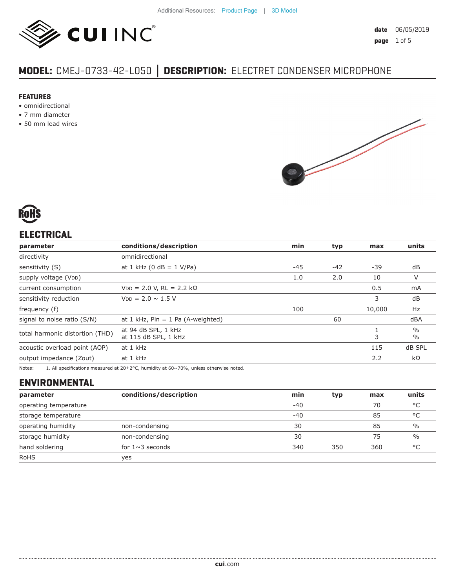

# **MODEL:** CMEJ-0733-42-L050 **│ DESCRIPTION:** ELECTRET CONDENSER MICROPHONE

#### **FEATURES**

- omnidirectional
- 7 mm diameter
- 50 mm lead wires





## **ELECTRICAL**

| parameter                       | conditions/description                      | min   | typ   | max    | units                          |
|---------------------------------|---------------------------------------------|-------|-------|--------|--------------------------------|
| directivity                     | omnidirectional                             |       |       |        |                                |
| sensitivity (S)                 | at 1 kHz (0 dB = $1$ V/Pa)                  | $-45$ | $-42$ | $-39$  | dB                             |
| supply voltage (VDD)            |                                             | 1.0   | 2.0   | 10     | V                              |
| current consumption             | $VDD = 2.0 V, RL = 2.2 k\Omega$             |       |       | 0.5    | mA                             |
| sensitivity reduction           | $V_{DD} = 2.0 \sim 1.5 V$                   |       |       | 3      | dB                             |
| frequency (f)                   |                                             | 100   |       | 10,000 | Hz                             |
| signal to noise ratio (S/N)     | at 1 kHz, $Pin = 1$ Pa (A-weighted)         |       | 60    |        | dBA                            |
| total harmonic distortion (THD) | at 94 dB SPL, 1 kHz<br>at 115 dB SPL, 1 kHz |       |       | 3      | $\frac{0}{0}$<br>$\frac{0}{0}$ |
| acoustic overload point (AOP)   | at 1 kHz                                    |       |       | 115    | dB SPL                         |
| output impedance (Zout)         | at 1 kHz                                    |       |       | 2.2    | $k\Omega$                      |
|                                 |                                             |       |       |        |                                |

Notes: 1. All specifications measured at 20±2°C, humidity at 60~70%, unless otherwise noted.

## **ENVIRONMENTAL**

| parameter             | conditions/description | min   | typ | max | units         |
|-----------------------|------------------------|-------|-----|-----|---------------|
| operating temperature |                        | $-40$ |     | 70  | °C            |
| storage temperature   |                        | $-40$ |     | 85  | °C            |
| operating humidity    | non-condensing         | 30    |     | 85  | $\frac{0}{0}$ |
| storage humidity      | non-condensing         | 30    |     | 75  | $\frac{0}{0}$ |
| hand soldering        | for $1 \sim 3$ seconds | 340   | 350 | 360 | °C            |
| <b>RoHS</b>           | yes                    |       |     |     |               |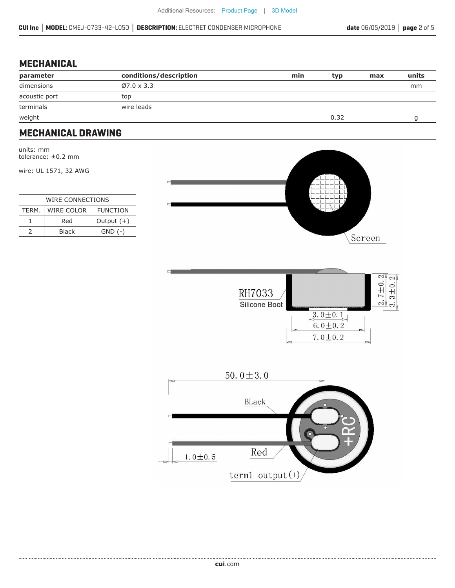#### **MECHANICAL**

| parameter     | conditions/description | min | typ  | max | units |
|---------------|------------------------|-----|------|-----|-------|
| dimensions    | $Ø7.0 \times 3.3$      |     |      |     | mm    |
| acoustic port | top                    |     |      |     |       |
| terminals     | wire leads             |     |      |     |       |
|               |                        |     | 0.32 |     |       |
| weight        |                        |     |      |     |       |

#### **MECHANICAL DRAWING**

units: mm tolerance: ±0.2 mm

wire: UL 1571, 32 AWG

| WIRE CONNECTIONS |                                      |              |  |  |
|------------------|--------------------------------------|--------------|--|--|
| TERM.            | <b>WIRE COLOR</b><br><b>FUNCTION</b> |              |  |  |
|                  | Red                                  | Output $(+)$ |  |  |
|                  | Black                                | $GND$ $(-)$  |  |  |





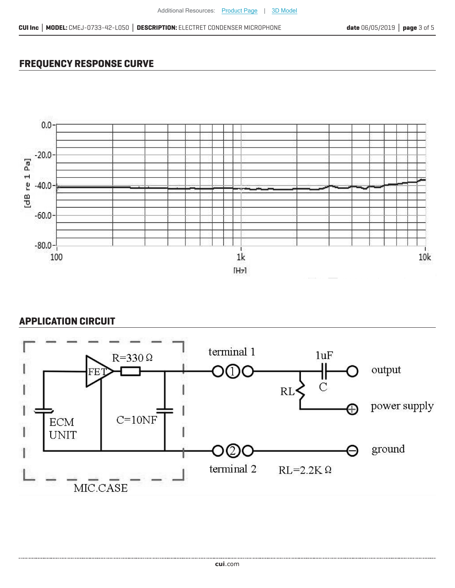## **FREQUENCY RESPONSE CURVE**



## **APPLICATION CIRCUIT**

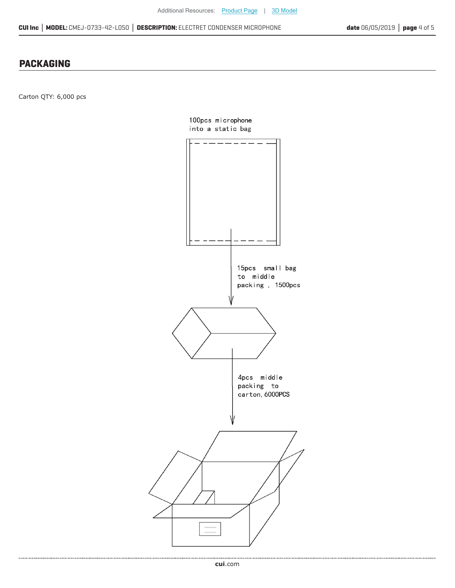#### **PACKAGING**

Carton QTY: 6,000 pcs